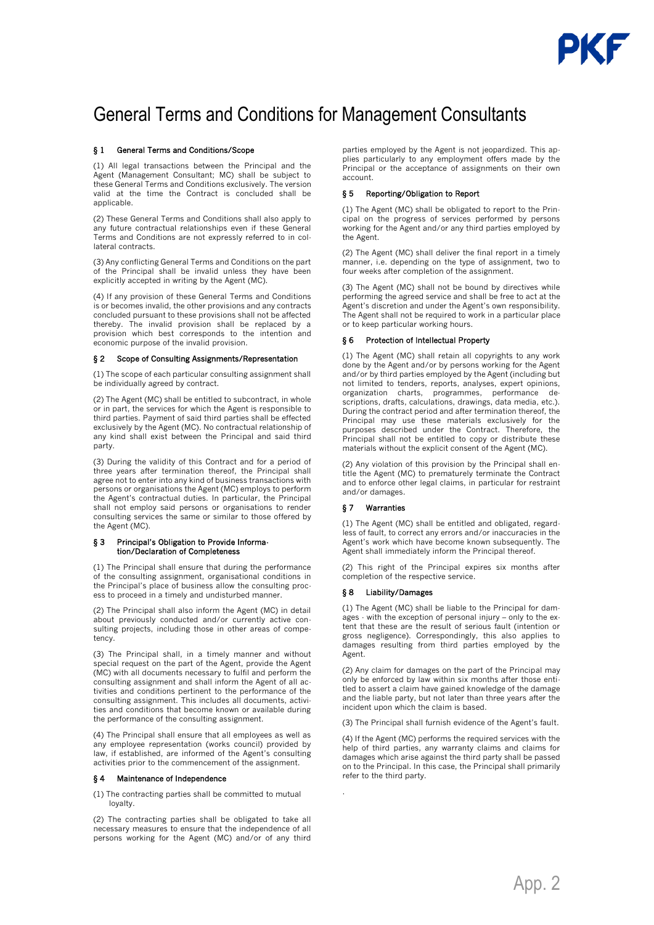# General Terms and Conditions for Management Consultants

# § 1 General Terms and Conditions/Scope

(1) All legal transactions between the Principal and the Agent (Management Consultant; MC) shall be subject to these General Terms and Conditions exclusively. The version valid at the time the Contract is concluded shall be applicable.

(2) These General Terms and Conditions shall also apply to any future contractual relationships even if these General Terms and Conditions are not expressly referred to in collateral contracts.

(3) Any conflicting General Terms and Conditions on the part of the Principal shall be invalid unless they have been explicitly accepted in writing by the Agent (MC).

(4) If any provision of these General Terms and Conditions is or becomes invalid, the other provisions and any contracts concluded pursuant to these provisions shall not be affected thereby. The invalid provision shall be replaced by a provision which best corresponds to the intention and economic purpose of the invalid provision.

# § 2 Scope of Consulting Assignments/Representation

(1) The scope of each particular consulting assignment shall be individually agreed by contract.

(2) The Agent (MC) shall be entitled to subcontract, in whole or in part, the services for which the Agent is responsible to third parties. Payment of said third parties shall be effected exclusively by the Agent (MC). No contractual relationship of any kind shall exist between the Principal and said third party.

(3) During the validity of this Contract and for a period of three years after termination thereof, the Principal shall agree not to enter into any kind of business transactions with persons or organisations the Agent (MC) employs to perform the Agent's contractual duties. In particular, the Principal shall not employ said persons or organisations to render consulting services the same or similar to those offered by the Agent (MC).

#### § 3 Principal's Obligation to Provide Information/Declaration of Completeness

(1) The Principal shall ensure that during the performance of the consulting assignment, organisational conditions in the Principal's place of business allow the consulting process to proceed in a timely and undisturbed manner.

(2) The Principal shall also inform the Agent (MC) in detail about previously conducted and/or currently active consulting projects, including those in other areas of competency.

(3) The Principal shall, in a timely manner and without special request on the part of the Agent, provide the Agent (MC) with all documents necessary to fulfil and perform the consulting assignment and shall inform the Agent of all activities and conditions pertinent to the performance of the consulting assignment. This includes all documents, activities and conditions that become known or available during the performance of the consulting assignment.

(4) The Principal shall ensure that all employees as well as any employee representation (works council) provided by law, if established, are informed of the Agent's consulting activities prior to the commencement of the assignment.

## § 4 Maintenance of Independence

(1) The contracting parties shall be committed to mutual loyalty.

(2) The contracting parties shall be obligated to take all necessary measures to ensure that the independence of all persons working for the Agent (MC) and/or of any third parties employed by the Agent is not jeopardized. This applies particularly to any employment offers made by the Principal or the acceptance of assignments on their own account.

# § 5 Reporting/Obligation to Report

(1) The Agent (MC) shall be obligated to report to the Principal on the progress of services performed by persons working for the Agent and/or any third parties employed by the Agent.

(2) The Agent (MC) shall deliver the final report in a timely manner, i.e. depending on the type of assignment, two to four weeks after completion of the assignment.

(3) The Agent (MC) shall not be bound by directives while performing the agreed service and shall be free to act at the Agent's discretion and under the Agent's own responsibility. The Agent shall not be required to work in a particular place or to keep particular working hours.

## § 6 Protection of Intellectual Property

(1) The Agent (MC) shall retain all copyrights to any work done by the Agent and/or by persons working for the Agent and/or by third parties employed by the Agent (including but not limited to tenders, reports, analyses, expert opinions, organization charts, programmes, performance descriptions, drafts, calculations, drawings, data media, etc.). During the contract period and after termination thereof, the Principal may use these materials exclusively for the purposes described under the Contract. Therefore, the Principal shall not be entitled to copy or distribute these materials without the explicit consent of the Agent (MC).

(2) Any violation of this provision by the Principal shall entitle the Agent (MC) to prematurely terminate the Contract and to enforce other legal claims, in particular for restraint and/or damages.

# § 7 Warranties

(1) The Agent (MC) shall be entitled and obligated, regardless of fault, to correct any errors and/or inaccuracies in the Agent's work which have become known subsequently. The Agent shall immediately inform the Principal thereof.

(2) This right of the Principal expires six months after completion of the respective service.

## § 8 Liability/Damages

.

(1) The Agent (MC) shall be liable to the Principal for damages - with the exception of personal injury – only to the extent that these are the result of serious fault (intention or gross negligence). Correspondingly, this also applies to damages resulting from third parties employed by the Agent.

(2) Any claim for damages on the part of the Principal may only be enforced by law within six months after those entitled to assert a claim have gained knowledge of the damage and the liable party, but not later than three years after the incident upon which the claim is based.

(3) The Principal shall furnish evidence of the Agent's fault.

(4) If the Agent (MC) performs the required services with the help of third parties, any warranty claims and claims for damages which arise against the third party shall be passed on to the Principal. In this case, the Principal shall primarily refer to the third party.